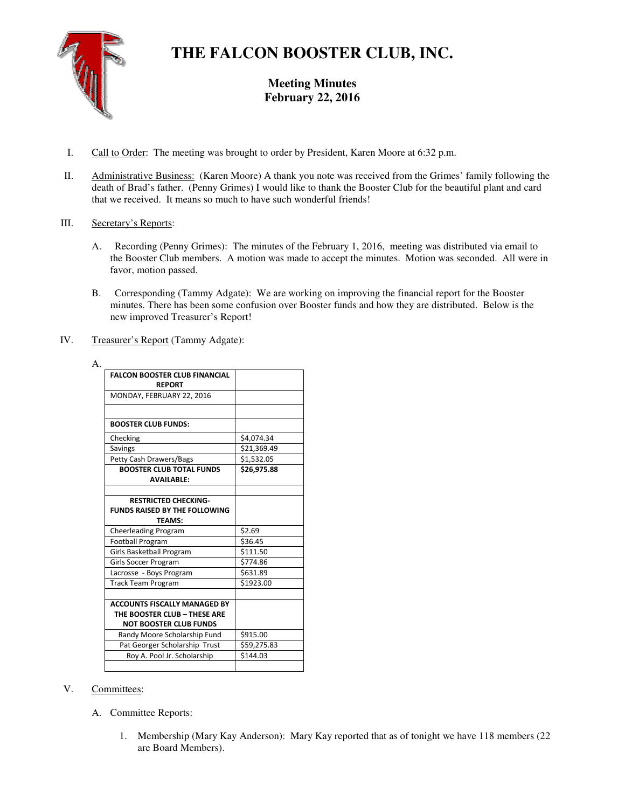

# **THE FALCON BOOSTER CLUB, INC.**

**Meeting Minutes February 22, 2016** 

- I. Call to Order: The meeting was brought to order by President, Karen Moore at 6:32 p.m.
- II. Administrative Business: (Karen Moore) A thank you note was received from the Grimes' family following the death of Brad's father. (Penny Grimes) I would like to thank the Booster Club for the beautiful plant and card that we received. It means so much to have such wonderful friends!
- III. Secretary's Reports:
	- A. Recording (Penny Grimes): The minutes of the February 1, 2016, meeting was distributed via email to the Booster Club members. A motion was made to accept the minutes. Motion was seconded. All were in favor, motion passed.
	- B. Corresponding (Tammy Adgate): We are working on improving the financial report for the Booster minutes. There has been some confusion over Booster funds and how they are distributed. Below is the new improved Treasurer's Report!
- IV. Treasurer's Report (Tammy Adgate):

| <b>FALCON BOOSTER CLUB FINANCIAL</b><br><b>REPORT</b> |             |
|-------------------------------------------------------|-------------|
| MONDAY, FEBRUARY 22, 2016                             |             |
|                                                       |             |
| <b>BOOSTER CLUB FUNDS:</b>                            |             |
| Checking                                              | \$4,074.34  |
| Savings                                               | \$21,369.49 |
| Petty Cash Drawers/Bags                               | \$1,532.05  |
| <b>BOOSTER CLUB TOTAL FUNDS</b><br><b>AVAILABLE:</b>  | \$26,975.88 |
|                                                       |             |
| <b>RESTRICTED CHECKING-</b>                           |             |
| <b>FUNDS RAISED BY THE FOLLOWING</b>                  |             |
| <b>TEAMS:</b>                                         |             |
| <b>Cheerleading Program</b>                           | \$2.69      |
| <b>Football Program</b>                               | \$36.45     |
| Girls Basketball Program                              | \$111.50    |
| Girls Soccer Program                                  | \$774.86    |
| Lacrosse - Boys Program                               | \$631.89    |
| <b>Track Team Program</b>                             | \$1923.00   |
|                                                       |             |
| <b>ACCOUNTS FISCALLY MANAGED BY</b>                   |             |
| THE BOOSTER CLUB - THESE ARE                          |             |
| <b>NOT BOOSTER CLUB FUNDS</b>                         |             |
| Randy Moore Scholarship Fund                          | \$915.00    |
| Pat Georger Scholarship Trust                         | \$59,275.83 |
| Roy A. Pool Jr. Scholarship                           | \$144.03    |
|                                                       |             |

## A.

### V. Committees:

- A. Committee Reports:
	- 1. Membership (Mary Kay Anderson): Mary Kay reported that as of tonight we have 118 members (22 are Board Members).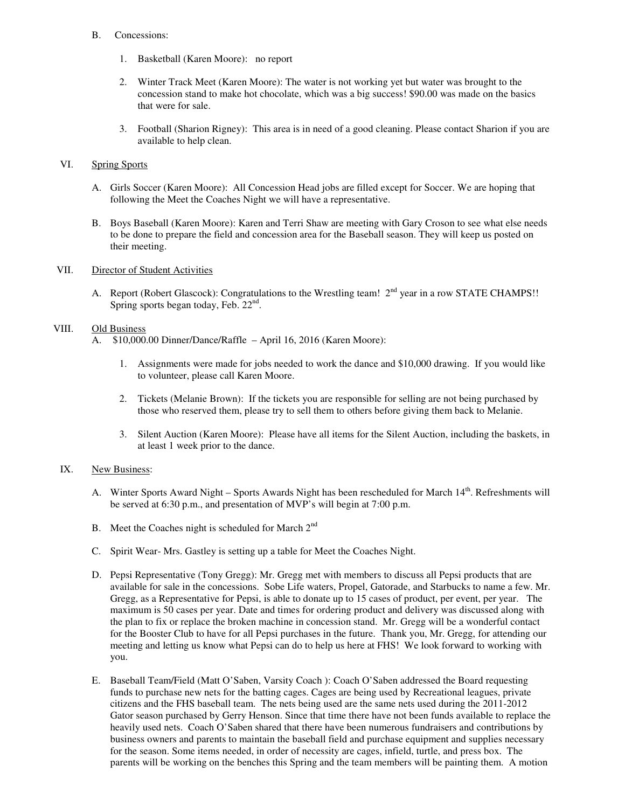- B. Concessions:
	- 1. Basketball (Karen Moore): no report
	- 2. Winter Track Meet (Karen Moore): The water is not working yet but water was brought to the concession stand to make hot chocolate, which was a big success! \$90.00 was made on the basics that were for sale.
	- 3. Football (Sharion Rigney): This area is in need of a good cleaning. Please contact Sharion if you are available to help clean.

#### VI. Spring Sports

- A. Girls Soccer (Karen Moore): All Concession Head jobs are filled except for Soccer. We are hoping that following the Meet the Coaches Night we will have a representative.
- B. Boys Baseball (Karen Moore): Karen and Terri Shaw are meeting with Gary Croson to see what else needs to be done to prepare the field and concession area for the Baseball season. They will keep us posted on their meeting.

#### VII. Director of Student Activities

A. Report (Robert Glascock): Congratulations to the Wrestling team! 2<sup>nd</sup> year in a row STATE CHAMPS!! Spring sports began today, Feb. 22<sup>nd</sup>.

#### VIII. Old Business

- A. \$10,000.00 Dinner/Dance/Raffle April 16, 2016 (Karen Moore):
	- 1. Assignments were made for jobs needed to work the dance and \$10,000 drawing. If you would like to volunteer, please call Karen Moore.
	- 2. Tickets (Melanie Brown): If the tickets you are responsible for selling are not being purchased by those who reserved them, please try to sell them to others before giving them back to Melanie.
	- 3. Silent Auction (Karen Moore): Please have all items for the Silent Auction, including the baskets, in at least 1 week prior to the dance.

#### IX. New Business:

- A. Winter Sports Award Night Sports Awards Night has been rescheduled for March 14<sup>th</sup>. Refreshments will be served at 6:30 p.m., and presentation of MVP's will begin at 7:00 p.m.
- B. Meet the Coaches night is scheduled for March  $2<sup>nd</sup>$
- C. Spirit Wear- Mrs. Gastley is setting up a table for Meet the Coaches Night.
- D. Pepsi Representative (Tony Gregg): Mr. Gregg met with members to discuss all Pepsi products that are available for sale in the concessions. Sobe Life waters, Propel, Gatorade, and Starbucks to name a few. Mr. Gregg, as a Representative for Pepsi, is able to donate up to 15 cases of product, per event, per year. The maximum is 50 cases per year. Date and times for ordering product and delivery was discussed along with the plan to fix or replace the broken machine in concession stand. Mr. Gregg will be a wonderful contact for the Booster Club to have for all Pepsi purchases in the future. Thank you, Mr. Gregg, for attending our meeting and letting us know what Pepsi can do to help us here at FHS! We look forward to working with you.
- E. Baseball Team/Field (Matt O'Saben, Varsity Coach ): Coach O'Saben addressed the Board requesting funds to purchase new nets for the batting cages. Cages are being used by Recreational leagues, private citizens and the FHS baseball team. The nets being used are the same nets used during the 2011-2012 Gator season purchased by Gerry Henson. Since that time there have not been funds available to replace the heavily used nets. Coach O'Saben shared that there have been numerous fundraisers and contributions by business owners and parents to maintain the baseball field and purchase equipment and supplies necessary for the season. Some items needed, in order of necessity are cages, infield, turtle, and press box. The parents will be working on the benches this Spring and the team members will be painting them. A motion